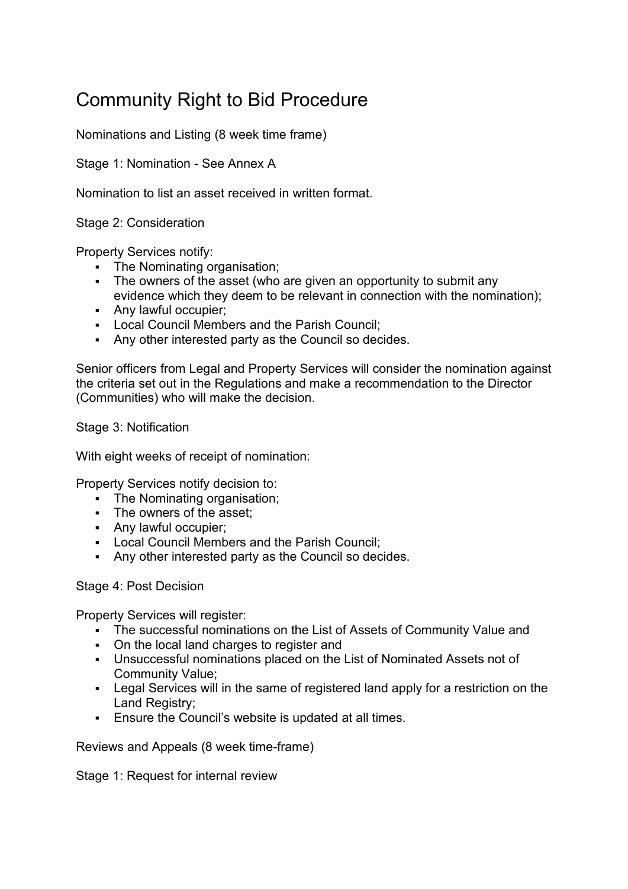## Community Right to Bid Procedure

Nominations and Listing (8 week time frame)

Stage 1: Nomination - See Annex A

Nomination to list an asset received in written format.

Stage 2: Consideration

Property Services notify:

- The Nominating organisation;
- The owners of the asset (who are given an opportunity to submit any evidence which they deem to be relevant in connection with the nomination);
- Any lawful occupier;
- **Local Council Members and the Parish Council;**
- Any other interested party as the Council so decides.

Senior officers from Legal and Property Services will consider the nomination against the criteria set out in the Regulations and make a recommendation to the Director (Communities) who will make the decision.

Stage 3: Notification

With eight weeks of receipt of nomination:

Property Services notify decision to:

- The Nominating organisation;
- The owners of the asset;
- Any lawful occupier;
- **Local Council Members and the Parish Council:**
- Any other interested party as the Council so decides.

Stage 4: Post Decision

Property Services will register:

- The successful nominations on the List of Assets of Community Value and
- On the local land charges to register and
- Unsuccessful nominations placed on the List of Nominated Assets not of Community Value;
- Legal Services will in the same of registered land apply for a restriction on the Land Registry:
- Ensure the Council's website is updated at all times.

Reviews and Appeals (8 week time-frame)

Stage 1: Request for internal review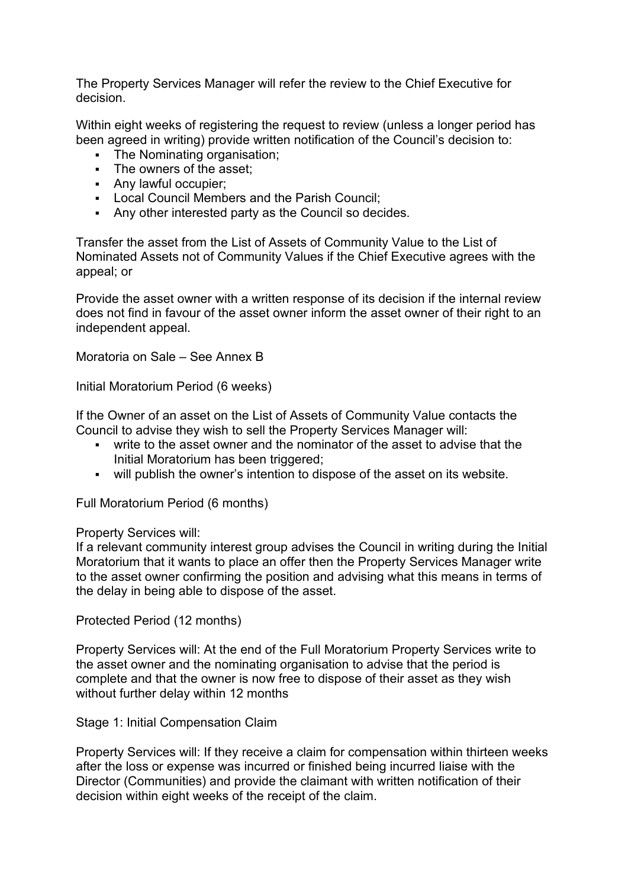The Property Services Manager will refer the review to the Chief Executive for decision.

Within eight weeks of registering the request to review (unless a longer period has been agreed in writing) provide written notification of the Council's decision to:

- The Nominating organisation;
- The owners of the asset:
- Any lawful occupier;
- Local Council Members and the Parish Council;
- Any other interested party as the Council so decides.

Transfer the asset from the List of Assets of Community Value to the List of Nominated Assets not of Community Values if the Chief Executive agrees with the appeal; or

Provide the asset owner with a written response of its decision if the internal review does not find in favour of the asset owner inform the asset owner of their right to an independent appeal.

Moratoria on Sale – See Annex B

Initial Moratorium Period (6 weeks)

If the Owner of an asset on the List of Assets of Community Value contacts the Council to advise they wish to sell the Property Services Manager will:

- write to the asset owner and the nominator of the asset to advise that the Initial Moratorium has been triggered;
- will publish the owner's intention to dispose of the asset on its website.

Full Moratorium Period (6 months)

## Property Services will:

If a relevant community interest group advises the Council in writing during the Initial Moratorium that it wants to place an offer then the Property Services Manager write to the asset owner confirming the position and advising what this means in terms of the delay in being able to dispose of the asset.

Protected Period (12 months)

Property Services will: At the end of the Full Moratorium Property Services write to the asset owner and the nominating organisation to advise that the period is complete and that the owner is now free to dispose of their asset as they wish without further delay within 12 months

Stage 1: Initial Compensation Claim

Property Services will: If they receive a claim for compensation within thirteen weeks after the loss or expense was incurred or finished being incurred liaise with the Director (Communities) and provide the claimant with written notification of their decision within eight weeks of the receipt of the claim.